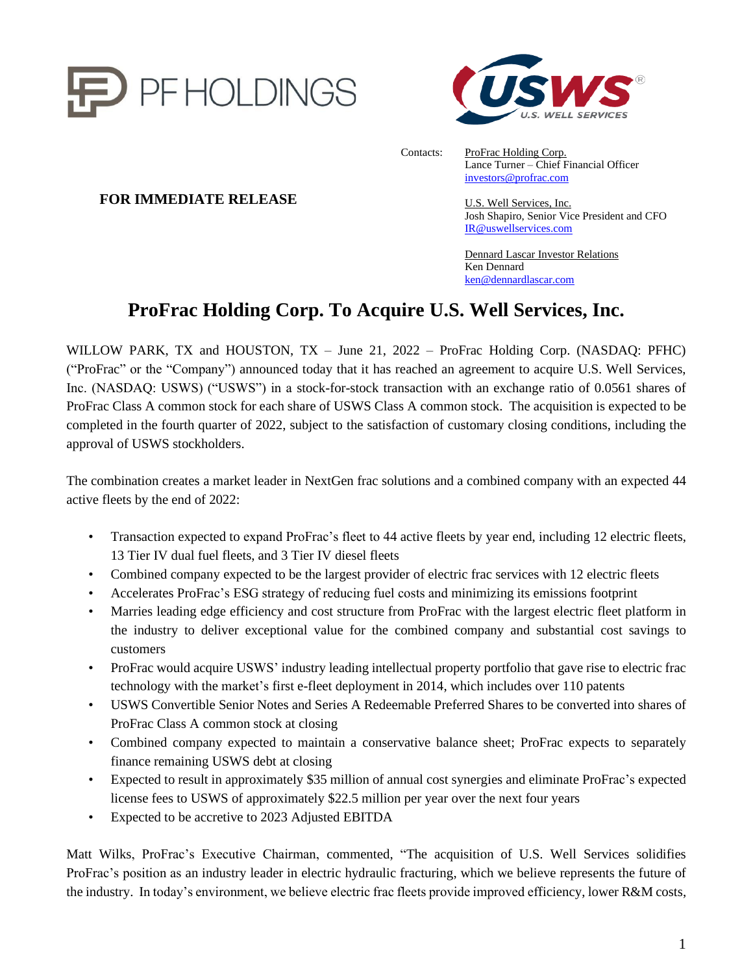



Contacts: ProFrac Holding Corp. Lance Turner – Chief Financial Officer [investors@profrac.com](mailto:investors@profrac.com)

> U.S. Well Services, Inc. Josh Shapiro, Senior Vice President and CFO [IR@uswellservices.com](mailto:IR@uswellservices.com)

Dennard Lascar Investor Relations Ken Dennard [ken@dennardlascar.com](mailto:ken@dennardlascar.com)

# **ProFrac Holding Corp. To Acquire U.S. Well Services, Inc.**

WILLOW PARK, TX and HOUSTON, TX – June 21, 2022 – ProFrac Holding Corp. (NASDAQ: PFHC) ("ProFrac" or the "Company") announced today that it has reached an agreement to acquire U.S. Well Services, Inc. (NASDAQ: USWS) ("USWS") in a stock-for-stock transaction with an exchange ratio of 0.0561 shares of ProFrac Class A common stock for each share of USWS Class A common stock. The acquisition is expected to be completed in the fourth quarter of 2022, subject to the satisfaction of customary closing conditions, including the approval of USWS stockholders.

The combination creates a market leader in NextGen frac solutions and a combined company with an expected 44 active fleets by the end of 2022:

- Transaction expected to expand ProFrac's fleet to 44 active fleets by year end, including 12 electric fleets, 13 Tier IV dual fuel fleets, and 3 Tier IV diesel fleets
- Combined company expected to be the largest provider of electric frac services with 12 electric fleets
- Accelerates ProFrac's ESG strategy of reducing fuel costs and minimizing its emissions footprint
- Marries leading edge efficiency and cost structure from ProFrac with the largest electric fleet platform in the industry to deliver exceptional value for the combined company and substantial cost savings to customers
- ProFrac would acquire USWS' industry leading intellectual property portfolio that gave rise to electric frac technology with the market's first e-fleet deployment in 2014, which includes over 110 patents
- USWS Convertible Senior Notes and Series A Redeemable Preferred Shares to be converted into shares of ProFrac Class A common stock at closing
- Combined company expected to maintain a conservative balance sheet; ProFrac expects to separately finance remaining USWS debt at closing
- Expected to result in approximately \$35 million of annual cost synergies and eliminate ProFrac's expected license fees to USWS of approximately \$22.5 million per year over the next four years
- Expected to be accretive to 2023 Adjusted EBITDA

Matt Wilks, ProFrac's Executive Chairman, commented, "The acquisition of U.S. Well Services solidifies ProFrac's position as an industry leader in electric hydraulic fracturing, which we believe represents the future of the industry. In today's environment, we believe electric frac fleets provide improved efficiency, lower R&M costs,

## **FOR IMMEDIATE RELEASE**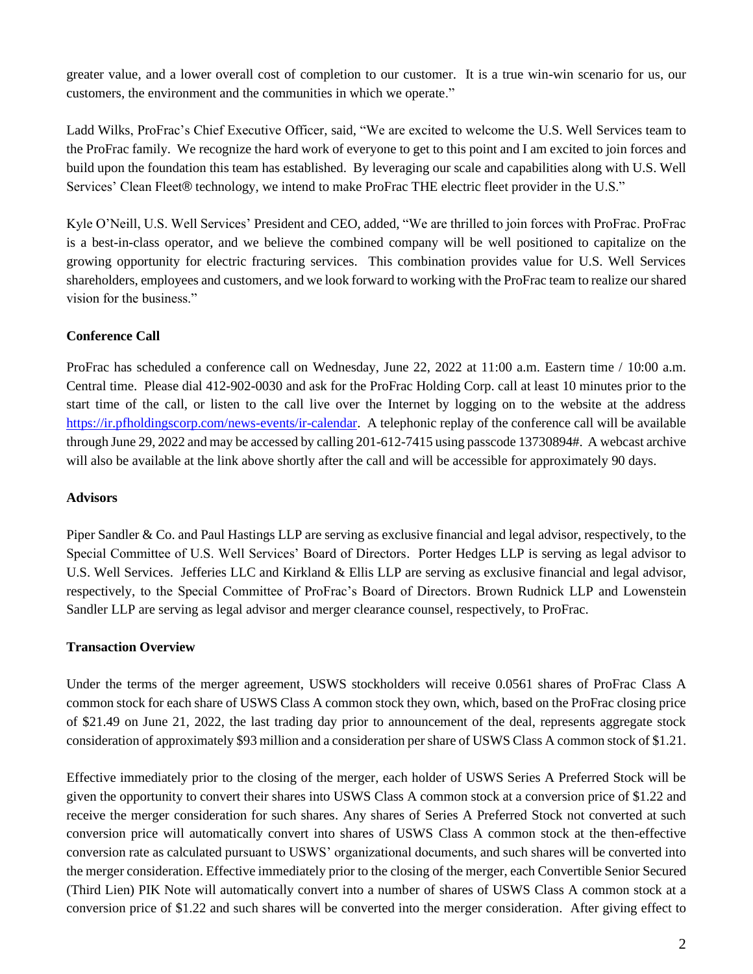greater value, and a lower overall cost of completion to our customer. It is a true win-win scenario for us, our customers, the environment and the communities in which we operate."

Ladd Wilks, ProFrac's Chief Executive Officer, said, "We are excited to welcome the U.S. Well Services team to the ProFrac family. We recognize the hard work of everyone to get to this point and I am excited to join forces and build upon the foundation this team has established. By leveraging our scale and capabilities along with U.S. Well Services' Clean Fleet® technology, we intend to make ProFrac THE electric fleet provider in the U.S."

Kyle O'Neill, U.S. Well Services' President and CEO, added, "We are thrilled to join forces with ProFrac. ProFrac is a best-in-class operator, and we believe the combined company will be well positioned to capitalize on the growing opportunity for electric fracturing services. This combination provides value for U.S. Well Services shareholders, employees and customers, and we look forward to working with the ProFrac team to realize our shared vision for the business."

## **Conference Call**

ProFrac has scheduled a conference call on Wednesday, June 22, 2022 at 11:00 a.m. Eastern time / 10:00 a.m. Central time. Please dial 412-902-0030 and ask for the ProFrac Holding Corp. call at least 10 minutes prior to the start time of the call, or listen to the call live over the Internet by logging on to the website at the address [https://ir.pfholdingscorp.com/news-events/ir-calendar.](https://ir.pfholdingscorp.com/news-events/ir-calendar) A telephonic replay of the conference call will be available through June 29, 2022 and may be accessed by calling 201-612-7415 using passcode 13730894#. A webcast archive will also be available at the link above shortly after the call and will be accessible for approximately 90 days.

## **Advisors**

Piper Sandler & Co. and Paul Hastings LLP are serving as exclusive financial and legal advisor, respectively, to the Special Committee of U.S. Well Services' Board of Directors. Porter Hedges LLP is serving as legal advisor to U.S. Well Services. Jefferies LLC and Kirkland & Ellis LLP are serving as exclusive financial and legal advisor, respectively, to the Special Committee of ProFrac's Board of Directors. Brown Rudnick LLP and Lowenstein Sandler LLP are serving as legal advisor and merger clearance counsel, respectively, to ProFrac.

## **Transaction Overview**

Under the terms of the merger agreement, USWS stockholders will receive 0.0561 shares of ProFrac Class A common stock for each share of USWS Class A common stock they own, which, based on the ProFrac closing price of \$21.49 on June 21, 2022, the last trading day prior to announcement of the deal, represents aggregate stock consideration of approximately \$93 million and a consideration per share of USWS Class A common stock of \$1.21.

Effective immediately prior to the closing of the merger, each holder of USWS Series A Preferred Stock will be given the opportunity to convert their shares into USWS Class A common stock at a conversion price of \$1.22 and receive the merger consideration for such shares. Any shares of Series A Preferred Stock not converted at such conversion price will automatically convert into shares of USWS Class A common stock at the then-effective conversion rate as calculated pursuant to USWS' organizational documents, and such shares will be converted into the merger consideration. Effective immediately prior to the closing of the merger, each Convertible Senior Secured (Third Lien) PIK Note will automatically convert into a number of shares of USWS Class A common stock at a conversion price of \$1.22 and such shares will be converted into the merger consideration. After giving effect to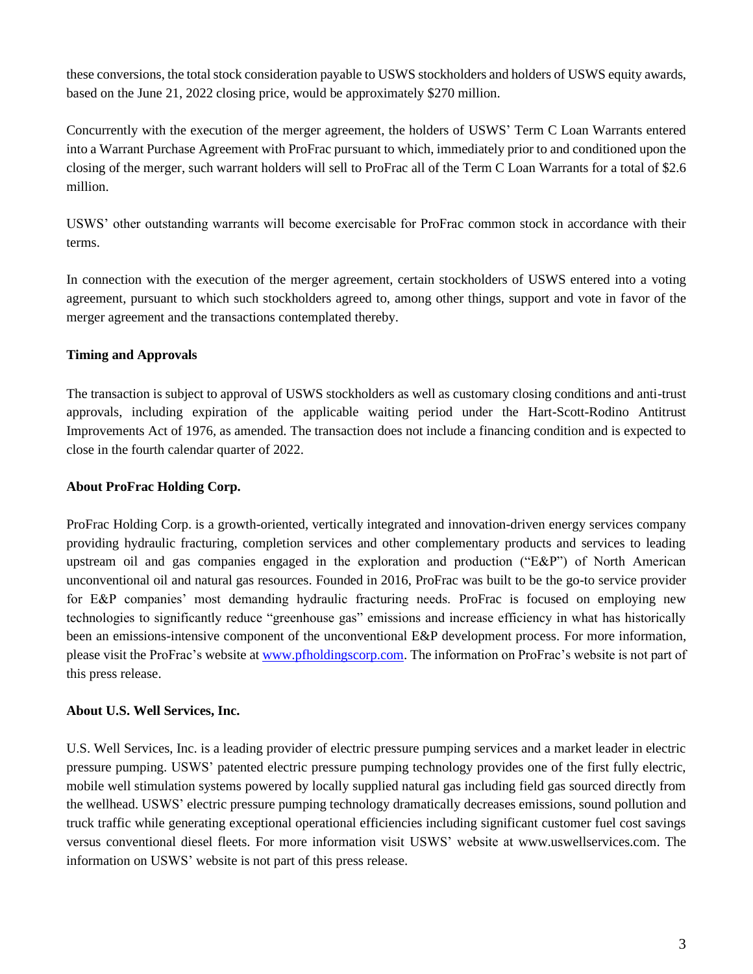these conversions, the total stock consideration payable to USWS stockholders and holders of USWS equity awards, based on the June 21, 2022 closing price, would be approximately \$270 million.

Concurrently with the execution of the merger agreement, the holders of USWS' Term C Loan Warrants entered into a Warrant Purchase Agreement with ProFrac pursuant to which, immediately prior to and conditioned upon the closing of the merger, such warrant holders will sell to ProFrac all of the Term C Loan Warrants for a total of \$2.6 million.

USWS' other outstanding warrants will become exercisable for ProFrac common stock in accordance with their terms.

In connection with the execution of the merger agreement, certain stockholders of USWS entered into a voting agreement, pursuant to which such stockholders agreed to, among other things, support and vote in favor of the merger agreement and the transactions contemplated thereby.

## **Timing and Approvals**

The transaction is subject to approval of USWS stockholders as well as customary closing conditions and anti-trust approvals, including expiration of the applicable waiting period under the Hart-Scott-Rodino Antitrust Improvements Act of 1976, as amended. The transaction does not include a financing condition and is expected to close in the fourth calendar quarter of 2022.

## **About ProFrac Holding Corp.**

ProFrac Holding Corp. is a growth-oriented, vertically integrated and innovation-driven energy services company providing hydraulic fracturing, completion services and other complementary products and services to leading upstream oil and gas companies engaged in the exploration and production ("E&P") of North American unconventional oil and natural gas resources. Founded in 2016, ProFrac was built to be the go-to service provider for E&P companies' most demanding hydraulic fracturing needs. ProFrac is focused on employing new technologies to significantly reduce "greenhouse gas" emissions and increase efficiency in what has historically been an emissions-intensive component of the unconventional E&P development process. For more information, please visit the ProFrac's website at [www.pfholdingscorp.com.](file:///C:/Users/toomeysv/Work%20Folders/Desktop/www.pfholdingscorp.com) The information on ProFrac's website is not part of this press release.

## **About U.S. Well Services, Inc.**

U.S. Well Services, Inc. is a leading provider of electric pressure pumping services and a market leader in electric pressure pumping. USWS' patented electric pressure pumping technology provides one of the first fully electric, mobile well stimulation systems powered by locally supplied natural gas including field gas sourced directly from the wellhead. USWS' electric pressure pumping technology dramatically decreases emissions, sound pollution and truck traffic while generating exceptional operational efficiencies including significant customer fuel cost savings versus conventional diesel fleets. For more information visit USWS' website at www.uswellservices.com. The information on USWS' website is not part of this press release.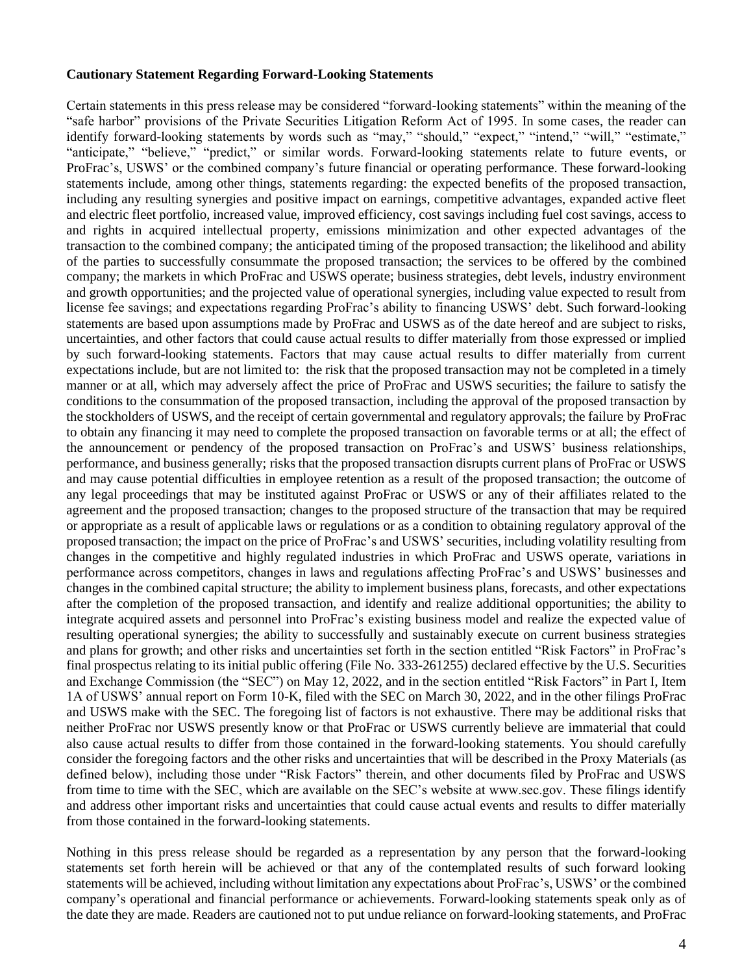#### **Cautionary Statement Regarding Forward-Looking Statements**

Certain statements in this press release may be considered "forward-looking statements" within the meaning of the "safe harbor" provisions of the Private Securities Litigation Reform Act of 1995. In some cases, the reader can identify forward-looking statements by words such as "may," "should," "expect," "intend," "will," "estimate," "anticipate," "believe," "predict," or similar words. Forward-looking statements relate to future events, or ProFrac's, USWS' or the combined company's future financial or operating performance. These forward-looking statements include, among other things, statements regarding: the expected benefits of the proposed transaction, including any resulting synergies and positive impact on earnings, competitive advantages, expanded active fleet and electric fleet portfolio, increased value, improved efficiency, cost savings including fuel cost savings, access to and rights in acquired intellectual property, emissions minimization and other expected advantages of the transaction to the combined company; the anticipated timing of the proposed transaction; the likelihood and ability of the parties to successfully consummate the proposed transaction; the services to be offered by the combined company; the markets in which ProFrac and USWS operate; business strategies, debt levels, industry environment and growth opportunities; and the projected value of operational synergies, including value expected to result from license fee savings; and expectations regarding ProFrac's ability to financing USWS' debt. Such forward-looking statements are based upon assumptions made by ProFrac and USWS as of the date hereof and are subject to risks, uncertainties, and other factors that could cause actual results to differ materially from those expressed or implied by such forward-looking statements. Factors that may cause actual results to differ materially from current expectations include, but are not limited to: the risk that the proposed transaction may not be completed in a timely manner or at all, which may adversely affect the price of ProFrac and USWS securities; the failure to satisfy the conditions to the consummation of the proposed transaction, including the approval of the proposed transaction by the stockholders of USWS, and the receipt of certain governmental and regulatory approvals; the failure by ProFrac to obtain any financing it may need to complete the proposed transaction on favorable terms or at all; the effect of the announcement or pendency of the proposed transaction on ProFrac's and USWS' business relationships, performance, and business generally; risks that the proposed transaction disrupts current plans of ProFrac or USWS and may cause potential difficulties in employee retention as a result of the proposed transaction; the outcome of any legal proceedings that may be instituted against ProFrac or USWS or any of their affiliates related to the agreement and the proposed transaction; changes to the proposed structure of the transaction that may be required or appropriate as a result of applicable laws or regulations or as a condition to obtaining regulatory approval of the proposed transaction; the impact on the price of ProFrac's and USWS' securities, including volatility resulting from changes in the competitive and highly regulated industries in which ProFrac and USWS operate, variations in performance across competitors, changes in laws and regulations affecting ProFrac's and USWS' businesses and changes in the combined capital structure; the ability to implement business plans, forecasts, and other expectations after the completion of the proposed transaction, and identify and realize additional opportunities; the ability to integrate acquired assets and personnel into ProFrac's existing business model and realize the expected value of resulting operational synergies; the ability to successfully and sustainably execute on current business strategies and plans for growth; and other risks and uncertainties set forth in the section entitled "Risk Factors" in ProFrac's final prospectus relating to its initial public offering (File No. 333-261255) declared effective by the U.S. Securities and Exchange Commission (the "SEC") on May 12, 2022, and in the section entitled "Risk Factors" in Part I, Item 1A of USWS' annual report on Form 10-K, filed with the SEC on March 30, 2022, and in the other filings ProFrac and USWS make with the SEC. The foregoing list of factors is not exhaustive. There may be additional risks that neither ProFrac nor USWS presently know or that ProFrac or USWS currently believe are immaterial that could also cause actual results to differ from those contained in the forward-looking statements. You should carefully consider the foregoing factors and the other risks and uncertainties that will be described in the Proxy Materials (as defined below), including those under "Risk Factors" therein, and other documents filed by ProFrac and USWS from time to time with the SEC, which are available on the SEC's website at www.sec.gov. These filings identify and address other important risks and uncertainties that could cause actual events and results to differ materially from those contained in the forward-looking statements.

Nothing in this press release should be regarded as a representation by any person that the forward-looking statements set forth herein will be achieved or that any of the contemplated results of such forward looking statements will be achieved, including without limitation any expectations about ProFrac's, USWS' or the combined company's operational and financial performance or achievements. Forward-looking statements speak only as of the date they are made. Readers are cautioned not to put undue reliance on forward-looking statements, and ProFrac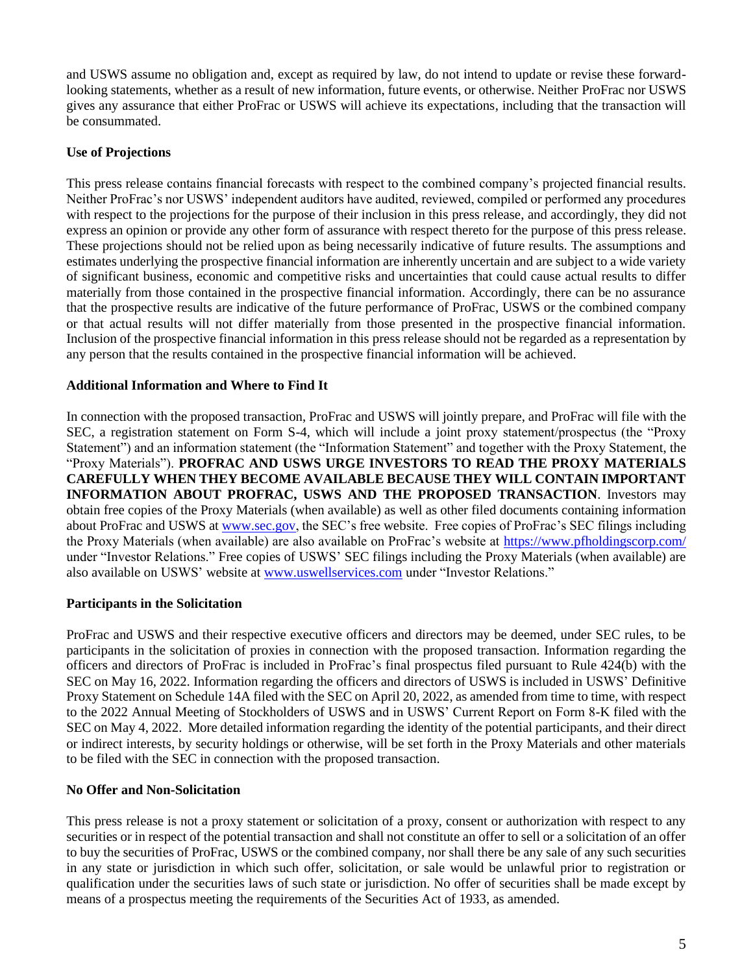and USWS assume no obligation and, except as required by law, do not intend to update or revise these forwardlooking statements, whether as a result of new information, future events, or otherwise. Neither ProFrac nor USWS gives any assurance that either ProFrac or USWS will achieve its expectations, including that the transaction will be consummated.

#### **Use of Projections**

This press release contains financial forecasts with respect to the combined company's projected financial results. Neither ProFrac's nor USWS' independent auditors have audited, reviewed, compiled or performed any procedures with respect to the projections for the purpose of their inclusion in this press release, and accordingly, they did not express an opinion or provide any other form of assurance with respect thereto for the purpose of this press release. These projections should not be relied upon as being necessarily indicative of future results. The assumptions and estimates underlying the prospective financial information are inherently uncertain and are subject to a wide variety of significant business, economic and competitive risks and uncertainties that could cause actual results to differ materially from those contained in the prospective financial information. Accordingly, there can be no assurance that the prospective results are indicative of the future performance of ProFrac, USWS or the combined company or that actual results will not differ materially from those presented in the prospective financial information. Inclusion of the prospective financial information in this press release should not be regarded as a representation by any person that the results contained in the prospective financial information will be achieved.

#### **Additional Information and Where to Find It**

In connection with the proposed transaction, ProFrac and USWS will jointly prepare, and ProFrac will file with the SEC, a registration statement on Form S-4, which will include a joint proxy statement/prospectus (the "Proxy Statement") and an information statement (the "Information Statement" and together with the Proxy Statement, the "Proxy Materials"). **PROFRAC AND USWS URGE INVESTORS TO READ THE PROXY MATERIALS CAREFULLY WHEN THEY BECOME AVAILABLE BECAUSE THEY WILL CONTAIN IMPORTANT INFORMATION ABOUT PROFRAC, USWS AND THE PROPOSED TRANSACTION**. Investors may obtain free copies of the Proxy Materials (when available) as well as other filed documents containing information about ProFrac and USWS at [www.sec.gov,](http://www.sec.gov/) the SEC's free website. Free copies of ProFrac's SEC filings including the Proxy Materials (when available) are also available on ProFrac's website at [https://www.pfholdingscorp.com/](https://www.pfholdingscorp.com/m) under "Investor Relations." Free copies of USWS' SEC filings including the Proxy Materials (when available) are also available on USWS' website at [www.uswellservices.com](http://www.uswellservices.com/) under "Investor Relations."

#### **Participants in the Solicitation**

ProFrac and USWS and their respective executive officers and directors may be deemed, under SEC rules, to be participants in the solicitation of proxies in connection with the proposed transaction. Information regarding the officers and directors of ProFrac is included in ProFrac's final prospectus filed pursuant to Rule 424(b) with the SEC on May 16, 2022. Information regarding the officers and directors of USWS is included in USWS' Definitive Proxy Statement on Schedule 14A filed with the SEC on April 20, 2022, as amended from time to time, with respect to the 2022 Annual Meeting of Stockholders of USWS and in USWS' Current Report on Form 8-K filed with the SEC on May 4, 2022. More detailed information regarding the identity of the potential participants, and their direct or indirect interests, by security holdings or otherwise, will be set forth in the Proxy Materials and other materials to be filed with the SEC in connection with the proposed transaction.

#### **No Offer and Non-Solicitation**

This press release is not a proxy statement or solicitation of a proxy, consent or authorization with respect to any securities or in respect of the potential transaction and shall not constitute an offer to sell or a solicitation of an offer to buy the securities of ProFrac, USWS or the combined company, nor shall there be any sale of any such securities in any state or jurisdiction in which such offer, solicitation, or sale would be unlawful prior to registration or qualification under the securities laws of such state or jurisdiction. No offer of securities shall be made except by means of a prospectus meeting the requirements of the Securities Act of 1933, as amended.